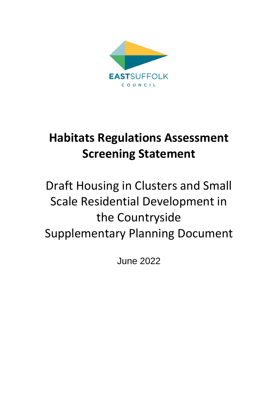

# **Habitats Regulations Assessment Screening Statement**

# Draft Housing in Clusters and Small Scale Residential Development in the Countryside Supplementary Planning Document

June 2022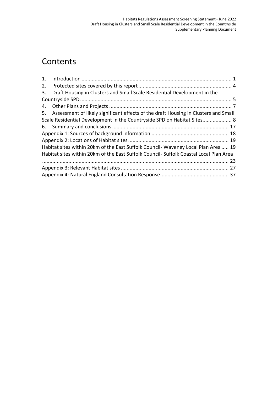## **Contents**

| 2. |                                                                                        |  |
|----|----------------------------------------------------------------------------------------|--|
| 3. | Draft Housing in Clusters and Small Scale Residential Development in the               |  |
|    |                                                                                        |  |
|    |                                                                                        |  |
|    | 5. Assessment of likely significant effects of the draft Housing in Clusters and Small |  |
|    | Scale Residential Development in the Countryside SPD on Habitat Sites 8                |  |
|    |                                                                                        |  |
|    |                                                                                        |  |
|    |                                                                                        |  |
|    | Habitat sites within 20km of the East Suffolk Council- Waveney Local Plan Area 19      |  |
|    | Habitat sites within 20km of the East Suffolk Council- Suffolk Coastal Local Plan Area |  |
|    |                                                                                        |  |
|    |                                                                                        |  |
|    |                                                                                        |  |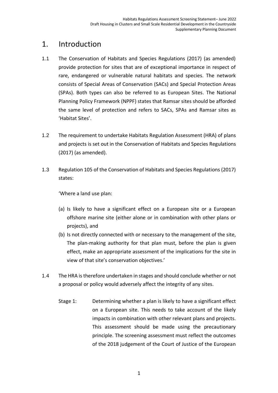#### <span id="page-2-0"></span>1. Introduction

- 1.1 The Conservation of Habitats and Species Regulations (2017) (as amended) provide protection for sites that are of exceptional importance in respect of rare, endangered or vulnerable natural habitats and species. The network consists of Special Areas of Conservation (SACs) and Special Protection Areas (SPAs). Both types can also be referred to as European Sites. The National Planning Policy Framework (NPPF) states that Ramsar sites should be afforded the same level of protection and refers to SACs, SPAs and Ramsar sites as 'Habitat Sites'.
- 1.2 The requirement to undertake Habitats Regulation Assessment (HRA) of plans and projects is set out in the Conservation of Habitats and Species Regulations (2017) (as amended).
- 1.3 Regulation 105 of the Conservation of Habitats and Species Regulations (2017) states:

'Where a land use plan:

- (a) Is likely to have a significant effect on a European site or a European offshore marine site (either alone or in combination with other plans or projects), and
- (b) Is not directly connected with or necessary to the management of the site, The plan-making authority for that plan must, before the plan is given effect, make an appropriate assessment of the implications for the site in view of that site's conservation objectives.'
- 1.4 The HRA is therefore undertaken in stages and should conclude whether or not a proposal or policy would adversely affect the integrity of any sites.
	- Stage 1: Determining whether a plan is likely to have a significant effect on a European site. This needs to take account of the likely impacts in combination with other relevant plans and projects. This assessment should be made using the precautionary principle. The screening assessment must reflect the outcomes of the 2018 judgement of the Court of Justice of the European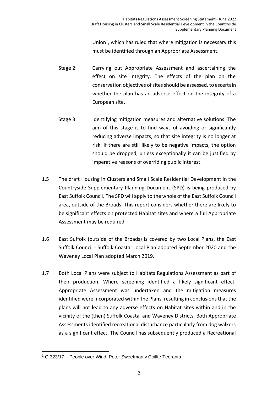Union<sup>1</sup>, which has ruled that where mitigation is necessary this must be identified through an Appropriate Assessment.

- Stage 2: Carrying out Appropriate Assessment and ascertaining the effect on site integrity. The effects of the plan on the conservation objectives of sites should be assessed, to ascertain whether the plan has an adverse effect on the integrity of a European site.
- Stage 3: Identifying mitigation measures and alternative solutions. The aim of this stage is to find ways of avoiding or significantly reducing adverse impacts, so that site integrity is no longer at risk. If there are still likely to be negative impacts, the option should be dropped, unless exceptionally it can be justified by imperative reasons of overriding public interest.
- 1.5 The draft Housing in Clusters and Small Scale Residential Development in the Countryside Supplementary Planning Document (SPD) is being produced by East Suffolk Council. The SPD will apply to the whole of the East Suffolk Council area, outside of the Broads. This report considers whether there are likely to be significant effects on protected Habitat sites and where a full Appropriate Assessment may be required.
- 1.6 East Suffolk (outside of the Broads) is covered by two Local Plans, the East Suffolk Council - Suffolk Coastal Local Plan adopted September 2020 and the Waveney Local Plan adopted March 2019.
- 1.7 Both Local Plans were subject to Habitats Regulations Assessment as part of their production. Where screening identified a likely significant effect, Appropriate Assessment was undertaken and the mitigation measures identified were incorporated within the Plans, resulting in conclusions that the plans will not lead to any adverse effects on Habitat sites within and in the vicinity of the (then) Suffolk Coastal and Waveney Districts. Both Appropriate Assessments identified recreational disturbance particularly from dog walkers as a significant effect. The Council has subsequently produced a Recreational

<sup>1</sup> C-323/17 – People over Wind, Peter Sweetman v Coillte Teoranta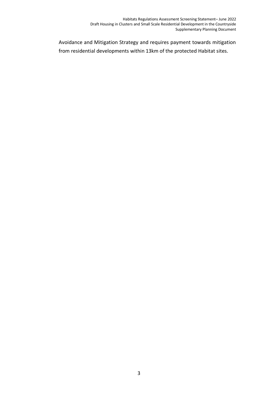Avoidance and Mitigation Strategy and requires payment towards mitigation from residential developments within 13km of the protected Habitat sites.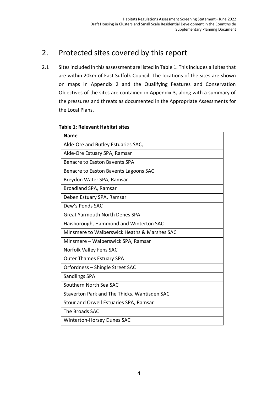#### <span id="page-5-0"></span>2. Protected sites covered by this report

2.1 Sites included in this assessment are listed in Table 1. This includes all sites that are within 20km of East Suffolk Council. The locations of the sites are shown on maps in Appendix 2 and the Qualifying Features and Conservation Objectives of the sites are contained in Appendix 3, along with a summary of the pressures and threats as documented in the Appropriate Assessments for the Local Plans.

|  | <b>Table 1: Relevant Habitat sites</b> |
|--|----------------------------------------|
|--|----------------------------------------|

| <b>Name</b>                                  |
|----------------------------------------------|
| Alde-Ore and Butley Estuaries SAC,           |
| Alde-Ore Estuary SPA, Ramsar                 |
| Benacre to Easton Bavents SPA                |
| Benacre to Easton Bavents Lagoons SAC        |
| Breydon Water SPA, Ramsar                    |
| Broadland SPA, Ramsar                        |
| Deben Estuary SPA, Ramsar                    |
| Dew's Ponds SAC                              |
| <b>Great Yarmouth North Denes SPA</b>        |
| Haisborough, Hammond and Winterton SAC       |
| Minsmere to Walberswick Heaths & Marshes SAC |
| Minsmere – Walberswick SPA, Ramsar           |
| Norfolk Valley Fens SAC                      |
| <b>Outer Thames Estuary SPA</b>              |
| Orfordness - Shingle Street SAC              |
| <b>Sandlings SPA</b>                         |
| Southern North Sea SAC                       |
| Staverton Park and The Thicks, Wantisden SAC |
| Stour and Orwell Estuaries SPA, Ramsar       |
| The Broads SAC                               |
| <b>Winterton-Horsey Dunes SAC</b>            |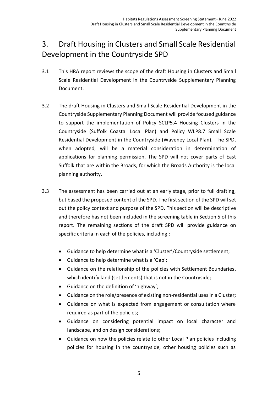### <span id="page-6-0"></span>3. Draft Housing in Clusters and Small Scale Residential Development in the Countryside SPD

- 3.1 This HRA report reviews the scope of the draft Housing in Clusters and Small Scale Residential Development in the Countryside Supplementary Planning Document.
- 3.2 The draft Housing in Clusters and Small Scale Residential Development in the Countryside Supplementary Planning Document will provide focused guidance to support the implementation of Policy SCLP5.4 Housing Clusters in the Countryside (Suffolk Coastal Local Plan) and Policy WLP8.7 Small Scale Residential Development in the Countryside (Waveney Local Plan). The SPD, when adopted, will be a material consideration in determination of applications for planning permission. The SPD will not cover parts of East Suffolk that are within the Broads, for which the Broads Authority is the local planning authority.
- 3.3 The assessment has been carried out at an early stage, prior to full drafting, but based the proposed content of the SPD. The first section of the SPD will set out the policy context and purpose of the SPD. This section will be descriptive and therefore has not been included in the screening table in Section 5 of this report. The remaining sections of the draft SPD will provide guidance on specific criteria in each of the policies, including :
	- Guidance to help determine what is a 'Cluster'/Countryside settlement;
	- Guidance to help determine what is a 'Gap';
	- Guidance on the relationship of the policies with Settlement Boundaries, which identify land (settlements) that is not in the Countryside;
	- Guidance on the definition of 'highway';
	- Guidance on the role/presence of existing non-residential uses in a Cluster;
	- Guidance on what is expected from engagement or consultation where required as part of the policies;
	- Guidance on considering potential impact on local character and landscape, and on design considerations;
	- Guidance on how the policies relate to other Local Plan policies including policies for housing in the countryside, other housing policies such as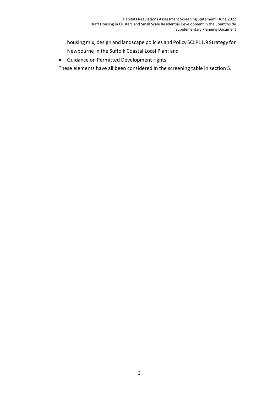housing mix, design and landscape policies and Policy SCLP11.9 Strategy for Newbourne in the Suffolk Coastal Local Plan; and

• Guidance on Permitted Development rights.

These elements have all been considered in the screening table in section 5.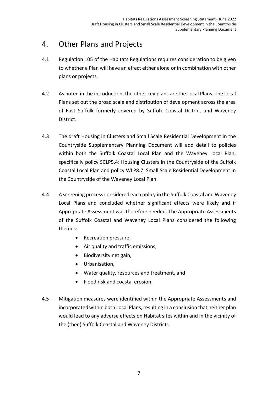#### <span id="page-8-0"></span>4. Other Plans and Projects

- 4.1 Regulation 105 of the Habitats Regulations requires consideration to be given to whether a Plan will have an effect either alone or in combination with other plans or projects.
- 4.2 As noted in the introduction, the other key plans are the Local Plans. The Local Plans set out the broad scale and distribution of development across the area of East Suffolk formerly covered by Suffolk Coastal District and Waveney District.
- 4.3 The draft Housing in Clusters and Small Scale Residential Development in the Countryside Supplementary Planning Document will add detail to policies within both the Suffolk Coastal Local Plan and the Waveney Local Plan, specifically policy SCLP5.4: Housing Clusters in the Countryside of the Suffolk Coastal Local Plan and policy WLP8.7: Small Scale Residential Development in the Countryside of the Waveney Local Plan.
- 4.4 A screening process considered each policy in the Suffolk Coastal and Waveney Local Plans and concluded whether significant effects were likely and if Appropriate Assessment was therefore needed. The Appropriate Assessments of the Suffolk Coastal and Waveney Local Plans considered the following themes:
	- Recreation pressure,
	- Air quality and traffic emissions,
	- Biodiversity net gain,
	- Urbanisation,
	- Water quality, resources and treatment, and
	- Flood risk and coastal erosion.
- 4.5 Mitigation measures were identified within the Appropriate Assessments and incorporated within both Local Plans, resulting in a conclusion that neither plan would lead to any adverse effects on Habitat sites within and in the vicinity of the (then) Suffolk Coastal and Waveney Districts.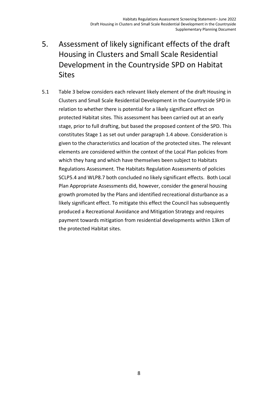- <span id="page-9-0"></span>5. Assessment of likely significant effects of the draft Housing in Clusters and Small Scale Residential Development in the Countryside SPD on Habitat **Sites**
- 5.1 Table 3 below considers each relevant likely element of the draft Housing in Clusters and Small Scale Residential Development in the Countryside SPD in relation to whether there is potential for a likely significant effect on protected Habitat sites. This assessment has been carried out at an early stage, prior to full drafting, but based the proposed content of the SPD. This constitutes Stage 1 as set out under paragraph 1.4 above. Consideration is given to the characteristics and location of the protected sites. The relevant elements are considered within the context of the Local Plan policies from which they hang and which have themselves been subject to Habitats Regulations Assessment. The Habitats Regulation Assessments of policies SCLP5.4 and WLP8.7 both concluded no likely significant effects. Both Local Plan Appropriate Assessments did, however, consider the general housing growth promoted by the Plans and identified recreational disturbance as a likely significant effect. To mitigate this effect the Council has subsequently produced a Recreational Avoidance and Mitigation Strategy and requires payment towards mitigation from residential developments within 13km of the protected Habitat sites.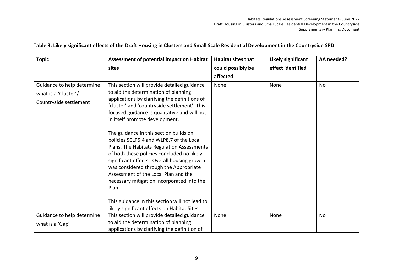| <b>Topic</b>                                                                 | Assessment of potential impact on Habitat                                                                                                                                                                                                                                                                                                                                                                                                                                                                                                                                                                                                        | <b>Habitat sites that</b> | Likely significant | AA needed? |
|------------------------------------------------------------------------------|--------------------------------------------------------------------------------------------------------------------------------------------------------------------------------------------------------------------------------------------------------------------------------------------------------------------------------------------------------------------------------------------------------------------------------------------------------------------------------------------------------------------------------------------------------------------------------------------------------------------------------------------------|---------------------------|--------------------|------------|
|                                                                              | sites                                                                                                                                                                                                                                                                                                                                                                                                                                                                                                                                                                                                                                            | could possibly be         | effect identified  |            |
|                                                                              |                                                                                                                                                                                                                                                                                                                                                                                                                                                                                                                                                                                                                                                  | affected                  |                    |            |
| Guidance to help determine<br>what is a 'Cluster'/<br>Countryside settlement | This section will provide detailed guidance<br>to aid the determination of planning<br>applications by clarifying the definitions of<br>'cluster' and 'countryside settlement'. This<br>focused guidance is qualitative and will not<br>in itself promote development.<br>The guidance in this section builds on<br>policies SCLP5.4 and WLP8.7 of the Local<br>Plans. The Habitats Regulation Assessments<br>of both these policies concluded no likely<br>significant effects. Overall housing growth<br>was considered through the Appropriate<br>Assessment of the Local Plan and the<br>necessary mitigation incorporated into the<br>Plan. | None                      | None               | No         |
|                                                                              | This guidance in this section will not lead to                                                                                                                                                                                                                                                                                                                                                                                                                                                                                                                                                                                                   |                           |                    |            |
|                                                                              | likely significant effects on Habitat Sites.                                                                                                                                                                                                                                                                                                                                                                                                                                                                                                                                                                                                     |                           |                    |            |
| Guidance to help determine                                                   | This section will provide detailed guidance                                                                                                                                                                                                                                                                                                                                                                                                                                                                                                                                                                                                      | None                      | None               | No         |
| what is a 'Gap'                                                              | to aid the determination of planning                                                                                                                                                                                                                                                                                                                                                                                                                                                                                                                                                                                                             |                           |                    |            |
|                                                                              | applications by clarifying the definition of                                                                                                                                                                                                                                                                                                                                                                                                                                                                                                                                                                                                     |                           |                    |            |

**Table 3: Likely significant effects of the Draft Housing in Clusters and Small Scale Residential Development in the Countryside SPD**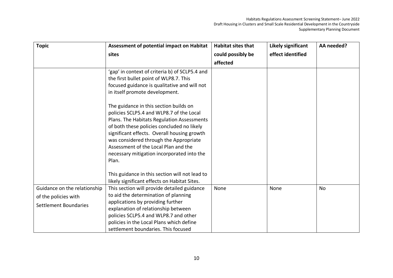| <b>Topic</b>                 | Assessment of potential impact on Habitat      | <b>Habitat sites that</b> | Likely significant | AA needed? |
|------------------------------|------------------------------------------------|---------------------------|--------------------|------------|
|                              | sites                                          | could possibly be         | effect identified  |            |
|                              |                                                | affected                  |                    |            |
|                              | 'gap' in context of criteria b) of SCLP5.4 and |                           |                    |            |
|                              | the first bullet point of WLP8.7. This         |                           |                    |            |
|                              | focused guidance is qualitative and will not   |                           |                    |            |
|                              | in itself promote development.                 |                           |                    |            |
|                              | The guidance in this section builds on         |                           |                    |            |
|                              | policies SCLP5.4 and WLP8.7 of the Local       |                           |                    |            |
|                              | Plans. The Habitats Regulation Assessments     |                           |                    |            |
|                              | of both these policies concluded no likely     |                           |                    |            |
|                              | significant effects. Overall housing growth    |                           |                    |            |
|                              | was considered through the Appropriate         |                           |                    |            |
|                              | Assessment of the Local Plan and the           |                           |                    |            |
|                              | necessary mitigation incorporated into the     |                           |                    |            |
|                              | Plan.                                          |                           |                    |            |
|                              |                                                |                           |                    |            |
|                              | This guidance in this section will not lead to |                           |                    |            |
|                              | likely significant effects on Habitat Sites.   |                           |                    |            |
| Guidance on the relationship | This section will provide detailed guidance    | None                      | None               | <b>No</b>  |
| of the policies with         | to aid the determination of planning           |                           |                    |            |
| <b>Settlement Boundaries</b> | applications by providing further              |                           |                    |            |
|                              | explanation of relationship between            |                           |                    |            |
|                              | policies SCLP5.4 and WLP8.7 and other          |                           |                    |            |
|                              | policies in the Local Plans which define       |                           |                    |            |
|                              | settlement boundaries. This focused            |                           |                    |            |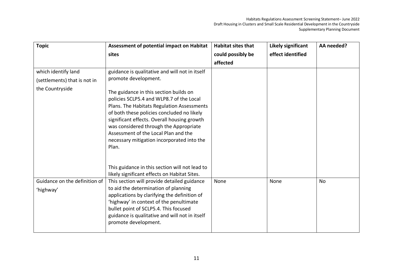| <b>Topic</b>                               | Assessment of potential impact on Habitat                                                                                                                                                                                                                                                                                                                              | <b>Habitat sites that</b> | <b>Likely significant</b> | AA needed? |
|--------------------------------------------|------------------------------------------------------------------------------------------------------------------------------------------------------------------------------------------------------------------------------------------------------------------------------------------------------------------------------------------------------------------------|---------------------------|---------------------------|------------|
| sites                                      |                                                                                                                                                                                                                                                                                                                                                                        | could possibly be         | effect identified         |            |
|                                            |                                                                                                                                                                                                                                                                                                                                                                        | affected                  |                           |            |
| which identify land                        | guidance is qualitative and will not in itself                                                                                                                                                                                                                                                                                                                         |                           |                           |            |
| (settlements) that is not in               | promote development.                                                                                                                                                                                                                                                                                                                                                   |                           |                           |            |
| the Countryside                            | The guidance in this section builds on<br>policies SCLP5.4 and WLP8.7 of the Local<br>Plans. The Habitats Regulation Assessments<br>of both these policies concluded no likely<br>significant effects. Overall housing growth<br>was considered through the Appropriate<br>Assessment of the Local Plan and the<br>necessary mitigation incorporated into the<br>Plan. |                           |                           |            |
|                                            | This guidance in this section will not lead to<br>likely significant effects on Habitat Sites.                                                                                                                                                                                                                                                                         |                           |                           |            |
| Guidance on the definition of<br>'highway' | This section will provide detailed guidance<br>to aid the determination of planning<br>applications by clarifying the definition of<br>'highway' in context of the penultimate<br>bullet point of SCLP5.4. This focused<br>guidance is qualitative and will not in itself<br>promote development.                                                                      | None                      | None                      | <b>No</b>  |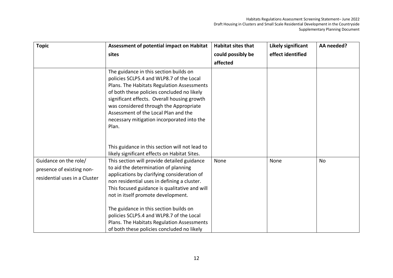| <b>Topic</b>                  | Assessment of potential impact on Habitat                                                                                                                                                                                                                                                                                                                              | <b>Habitat sites that</b> | <b>Likely significant</b> | AA needed? |
|-------------------------------|------------------------------------------------------------------------------------------------------------------------------------------------------------------------------------------------------------------------------------------------------------------------------------------------------------------------------------------------------------------------|---------------------------|---------------------------|------------|
|                               | sites                                                                                                                                                                                                                                                                                                                                                                  | could possibly be         | effect identified         |            |
|                               |                                                                                                                                                                                                                                                                                                                                                                        | affected                  |                           |            |
|                               | The guidance in this section builds on<br>policies SCLP5.4 and WLP8.7 of the Local<br>Plans. The Habitats Regulation Assessments<br>of both these policies concluded no likely<br>significant effects. Overall housing growth<br>was considered through the Appropriate<br>Assessment of the Local Plan and the<br>necessary mitigation incorporated into the<br>Plan. |                           |                           |            |
|                               | This guidance in this section will not lead to<br>likely significant effects on Habitat Sites.                                                                                                                                                                                                                                                                         |                           |                           |            |
| Guidance on the role/         | This section will provide detailed guidance                                                                                                                                                                                                                                                                                                                            | None                      | None                      | <b>No</b>  |
|                               | to aid the determination of planning                                                                                                                                                                                                                                                                                                                                   |                           |                           |            |
| presence of existing non-     | applications by clarifying consideration of                                                                                                                                                                                                                                                                                                                            |                           |                           |            |
| residential uses in a Cluster | non residential uses in defining a cluster.                                                                                                                                                                                                                                                                                                                            |                           |                           |            |
|                               | This focused guidance is qualitative and will                                                                                                                                                                                                                                                                                                                          |                           |                           |            |
|                               | not in itself promote development.                                                                                                                                                                                                                                                                                                                                     |                           |                           |            |
|                               | The guidance in this section builds on<br>policies SCLP5.4 and WLP8.7 of the Local<br>Plans. The Habitats Regulation Assessments<br>of both these policies concluded no likely                                                                                                                                                                                         |                           |                           |            |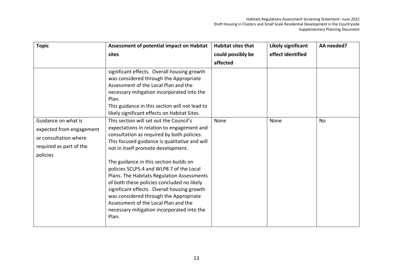| <b>Topic</b>                                                                                                    | Assessment of potential impact on Habitat                                                                                                                                                                                                                                                                                                                                                                                                                                                                                                                                                            | <b>Habitat sites that</b> | <b>Likely significant</b> | AA needed? |
|-----------------------------------------------------------------------------------------------------------------|------------------------------------------------------------------------------------------------------------------------------------------------------------------------------------------------------------------------------------------------------------------------------------------------------------------------------------------------------------------------------------------------------------------------------------------------------------------------------------------------------------------------------------------------------------------------------------------------------|---------------------------|---------------------------|------------|
|                                                                                                                 | sites                                                                                                                                                                                                                                                                                                                                                                                                                                                                                                                                                                                                | could possibly be         | effect identified         |            |
|                                                                                                                 |                                                                                                                                                                                                                                                                                                                                                                                                                                                                                                                                                                                                      | affected                  |                           |            |
|                                                                                                                 | significant effects. Overall housing growth<br>was considered through the Appropriate<br>Assessment of the Local Plan and the<br>necessary mitigation incorporated into the<br>Plan.<br>This guidance in this section will not lead to<br>likely significant effects on Habitat Sites.                                                                                                                                                                                                                                                                                                               |                           |                           |            |
| Guidance on what is<br>expected from engagement<br>or consultation where<br>required as part of the<br>policies | This section will set out the Council's<br>expectations in relation to engagement and<br>consultation as required by both policies.<br>This focused guidance is qualitative and will<br>not in itself promote development.<br>The guidance in this section builds on<br>policies SCLP5.4 and WLP8.7 of the Local<br>Plans. The Habitats Regulation Assessments<br>of both these policies concluded no likely<br>significant effects. Overall housing growth<br>was considered through the Appropriate<br>Assessment of the Local Plan and the<br>necessary mitigation incorporated into the<br>Plan. | None                      | None                      | <b>No</b>  |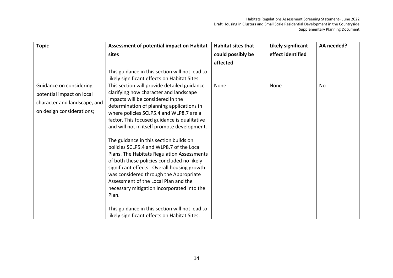| <b>Topic</b>                 | Assessment of potential impact on Habitat                                                                                                                                                                                                                                                                                                                              | <b>Habitat sites that</b> | Likely significant | AA needed? |
|------------------------------|------------------------------------------------------------------------------------------------------------------------------------------------------------------------------------------------------------------------------------------------------------------------------------------------------------------------------------------------------------------------|---------------------------|--------------------|------------|
|                              | sites                                                                                                                                                                                                                                                                                                                                                                  | could possibly be         | effect identified  |            |
|                              |                                                                                                                                                                                                                                                                                                                                                                        | affected                  |                    |            |
|                              | This guidance in this section will not lead to<br>likely significant effects on Habitat Sites.                                                                                                                                                                                                                                                                         |                           |                    |            |
| Guidance on considering      | This section will provide detailed guidance                                                                                                                                                                                                                                                                                                                            | None                      | None               | No         |
| potential impact on local    | clarifying how character and landscape                                                                                                                                                                                                                                                                                                                                 |                           |                    |            |
| character and landscape, and | impacts will be considered in the                                                                                                                                                                                                                                                                                                                                      |                           |                    |            |
| on design considerations;    | determination of planning applications in<br>where policies SCLP5.4 and WLP8.7 are a                                                                                                                                                                                                                                                                                   |                           |                    |            |
|                              | factor. This focused guidance is qualitative                                                                                                                                                                                                                                                                                                                           |                           |                    |            |
|                              | and will not in itself promote development.                                                                                                                                                                                                                                                                                                                            |                           |                    |            |
|                              | The guidance in this section builds on<br>policies SCLP5.4 and WLP8.7 of the Local<br>Plans. The Habitats Regulation Assessments<br>of both these policies concluded no likely<br>significant effects. Overall housing growth<br>was considered through the Appropriate<br>Assessment of the Local Plan and the<br>necessary mitigation incorporated into the<br>Plan. |                           |                    |            |
|                              | This guidance in this section will not lead to<br>likely significant effects on Habitat Sites.                                                                                                                                                                                                                                                                         |                           |                    |            |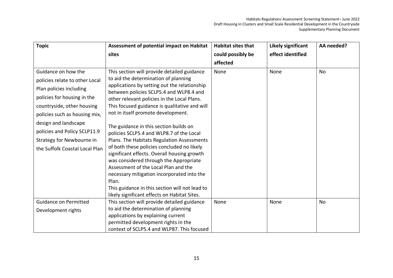| <b>Topic</b>                   | Assessment of potential impact on Habitat                                               | <b>Habitat sites that</b> | <b>Likely significant</b> | AA needed? |
|--------------------------------|-----------------------------------------------------------------------------------------|---------------------------|---------------------------|------------|
|                                | sites                                                                                   | could possibly be         | effect identified         |            |
|                                |                                                                                         | affected                  |                           |            |
| Guidance on how the            | This section will provide detailed guidance                                             | None                      | None                      | No         |
| policies relate to other Local | to aid the determination of planning                                                    |                           |                           |            |
| Plan policies including        | applications by setting out the relationship<br>between policies SCLP5.4 and WLP8.4 and |                           |                           |            |
| policies for housing in the    | other relevant policies in the Local Plans.                                             |                           |                           |            |
| countryside, other housing     | This focused guidance is qualitative and will                                           |                           |                           |            |
| policies such as housing mix,  | not in itself promote development.                                                      |                           |                           |            |
| design and landscape           | The guidance in this section builds on                                                  |                           |                           |            |
| policies and Policy SCLP11.9   | policies SCLP5.4 and WLP8.7 of the Local                                                |                           |                           |            |
| Strategy for Newbourne in      | Plans. The Habitats Regulation Assessments                                              |                           |                           |            |
| the Suffolk Coastal Local Plan | of both these policies concluded no likely                                              |                           |                           |            |
|                                | significant effects. Overall housing growth                                             |                           |                           |            |
|                                | was considered through the Appropriate                                                  |                           |                           |            |
|                                | Assessment of the Local Plan and the                                                    |                           |                           |            |
|                                | necessary mitigation incorporated into the                                              |                           |                           |            |
|                                | Plan.                                                                                   |                           |                           |            |
|                                | This guidance in this section will not lead to                                          |                           |                           |            |
|                                | likely significant effects on Habitat Sites.                                            |                           |                           |            |
| <b>Guidance on Permitted</b>   | This section will provide detailed guidance                                             | None                      | None                      | <b>No</b>  |
| Development rights             | to aid the determination of planning                                                    |                           |                           |            |
|                                | applications by explaining current                                                      |                           |                           |            |
|                                | permitted development rights in the                                                     |                           |                           |            |
|                                | context of SCLP5.4 and WLP87. This focused                                              |                           |                           |            |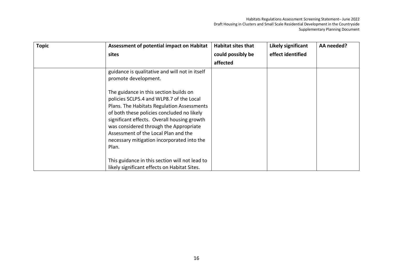| <b>Topic</b> | <b>Assessment of potential impact on Habitat</b>                                                                                                                                                                                                                                                                                                                       | <b>Habitat sites that</b> | Likely significant | AA needed? |
|--------------|------------------------------------------------------------------------------------------------------------------------------------------------------------------------------------------------------------------------------------------------------------------------------------------------------------------------------------------------------------------------|---------------------------|--------------------|------------|
|              | sites                                                                                                                                                                                                                                                                                                                                                                  | could possibly be         | effect identified  |            |
|              |                                                                                                                                                                                                                                                                                                                                                                        | affected                  |                    |            |
|              | guidance is qualitative and will not in itself<br>promote development.                                                                                                                                                                                                                                                                                                 |                           |                    |            |
|              | The guidance in this section builds on<br>policies SCLP5.4 and WLP8.7 of the Local<br>Plans. The Habitats Regulation Assessments<br>of both these policies concluded no likely<br>significant effects. Overall housing growth<br>was considered through the Appropriate<br>Assessment of the Local Plan and the<br>necessary mitigation incorporated into the<br>Plan. |                           |                    |            |
|              | This guidance in this section will not lead to<br>likely significant effects on Habitat Sites.                                                                                                                                                                                                                                                                         |                           |                    |            |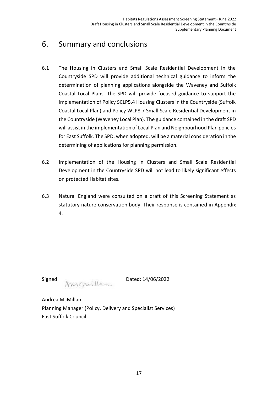#### <span id="page-18-0"></span>6. Summary and conclusions

- 6.1 The Housing in Clusters and Small Scale Residential Development in the Countryside SPD will provide additional technical guidance to inform the determination of planning applications alongside the Waveney and Suffolk Coastal Local Plans. The SPD will provide focused guidance to support the implementation of Policy SCLP5.4 Housing Clusters in the Countryside (Suffolk Coastal Local Plan) and Policy WLP8.7 Small Scale Residential Development in the Countryside (Waveney Local Plan). The guidance contained in the draft SPD will assist in the implementation of Local Plan and Neighbourhood Plan policies for East Suffolk. The SPD, when adopted, will be a material consideration in the determining of applications for planning permission.
- 6.2 Implementation of the Housing in Clusters and Small Scale Residential Development in the Countryside SPD will not lead to likely significant effects on protected Habitat sites.
- 6.3 Natural England were consulted on a draft of this Screening Statement as statutory nature conservation body. Their response is contained in Appendix 4.

Signed: AmyCruille

Andrea McMillan Planning Manager (Policy, Delivery and Specialist Services) East Suffolk Council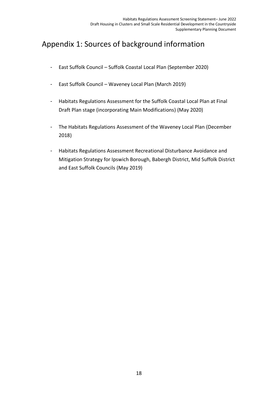### <span id="page-19-0"></span>Appendix 1: Sources of background information

- East Suffolk Council Suffolk Coastal Local Plan (September 2020)
- East Suffolk Council Waveney Local Plan (March 2019)
- Habitats Regulations Assessment for the Suffolk Coastal Local Plan at Final Draft Plan stage (incorporating Main Modifications) (May 2020)
- The Habitats Regulations Assessment of the Waveney Local Plan (December 2018)
- Habitats Regulations Assessment Recreational Disturbance Avoidance and Mitigation Strategy for Ipswich Borough, Babergh District, Mid Suffolk District and East Suffolk Councils (May 2019)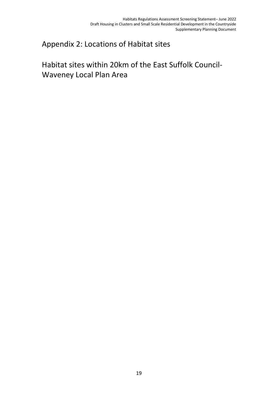#### <span id="page-20-1"></span><span id="page-20-0"></span>Appendix 2: Locations of Habitat sites

## Habitat sites within 20km of the East Suffolk Council-Waveney Local Plan Area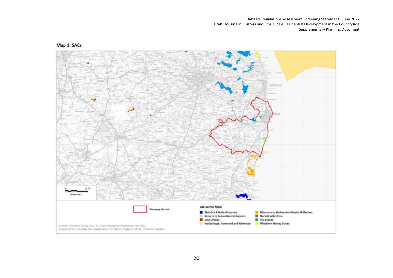

#### Map 1: SACs

20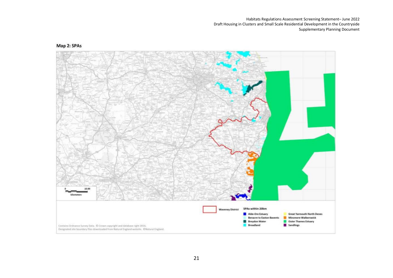#### Map 2: SPAs

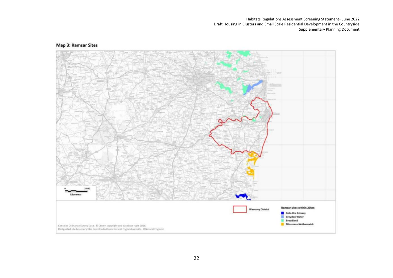#### **Map 3: Ramsar Sites**

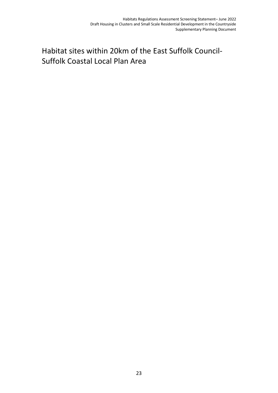## <span id="page-24-0"></span>Habitat sites within 20km of the East Suffolk Council-Suffolk Coastal Local Plan Area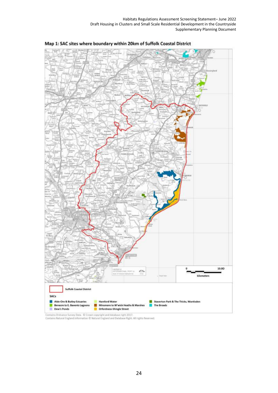



l.<br>Contains Ordnance Survey Data. © Crown copyright and database right 2017.<br>Contains Natural England Information © Natural England and Database Right. All rights Reserved.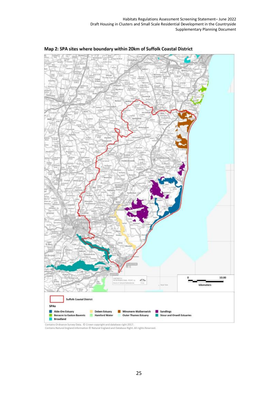

Map 2: SPA sites where boundary within 20km of Suffolk Coastal District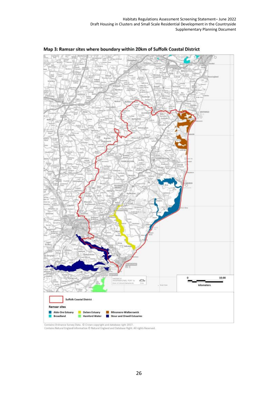

Map 3: Ramsar sites where boundary within 20km of Suffolk Coastal District

Contains Ordnance Survey Data, C Crown copyright and database right 2017.<br>Contains Natural England Information C Natural England and Database Right. All rights Reserved.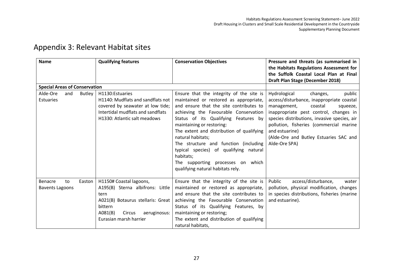<span id="page-28-0"></span>

| <b>Name</b>                                          | <b>Qualifying features</b>                                                                                                                                                         | <b>Conservation Objectives</b>                                                                                                                                                                                                                                                                                                                                                                                                                                                          | Pressure and threats (as summarised in<br>the Habitats Regulations Assessment for<br>the Suffolk Coastal Local Plan at Final<br>Draft Plan Stage (December 2018)                                                                                                                                                                        |
|------------------------------------------------------|------------------------------------------------------------------------------------------------------------------------------------------------------------------------------------|-----------------------------------------------------------------------------------------------------------------------------------------------------------------------------------------------------------------------------------------------------------------------------------------------------------------------------------------------------------------------------------------------------------------------------------------------------------------------------------------|-----------------------------------------------------------------------------------------------------------------------------------------------------------------------------------------------------------------------------------------------------------------------------------------------------------------------------------------|
| <b>Special Areas of Conservation</b>                 |                                                                                                                                                                                    |                                                                                                                                                                                                                                                                                                                                                                                                                                                                                         |                                                                                                                                                                                                                                                                                                                                         |
| Alde-Ore<br><b>Butley</b><br>and<br><b>Estuaries</b> | H1130: Estuaries<br>H1140: Mudflats and sandflats not<br>covered by seawater at low tide;<br>Intertidal mudflats and sandflats<br>H1330: Atlantic salt meadows                     | Ensure that the integrity of the site is<br>maintained or restored as appropriate,<br>and ensure that the site contributes to<br>achieving the Favourable Conservation<br>Status of its Qualifying Features by<br>maintaining or restoring:<br>The extent and distribution of qualifying<br>natural habitats;<br>The structure and function (including<br>typical species) of qualifying natural<br>habitats;<br>The supporting processes on which<br>qualifying natural habitats rely. | Hydrological<br>public<br>changes,<br>access/disturbance, inappropriate coastal<br>management,<br>coastal<br>squeeze,<br>inappropriate pest control, changes in<br>species distributions, invasive species, air<br>pollution, fisheries (commercial marine<br>and estuarine)<br>(Alde-Ore and Butley Estuaries SAC and<br>Alde-Ore SPA) |
| Benacre<br>Easton<br>to<br><b>Bavents Lagoons</b>    | H1150# Coastal lagoons,<br>A195(B) Sterna albifrons: Little<br>tern<br>A021(B) Botaurus stellaris: Great<br>bittern<br>A081(B)<br>Circus<br>aeruginosus:<br>Eurasian marsh harrier | Ensure that the integrity of the site is<br>maintained or restored as appropriate,<br>and ensure that the site contributes to<br>achieving the Favourable Conservation<br>Status of its Qualifying Features, by<br>maintaining or restoring;<br>The extent and distribution of qualifying<br>natural habitats,                                                                                                                                                                          | Public<br>access/disturbance,<br>water<br>pollution, physical modification, changes<br>in species distributions, fisheries (marine<br>and estuarine).                                                                                                                                                                                   |

#### Appendix 3: Relevant Habitat sites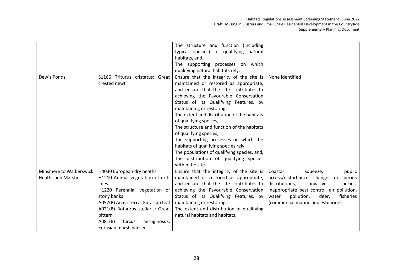|                           |                                    | The structure and function (including       |                                            |
|---------------------------|------------------------------------|---------------------------------------------|--------------------------------------------|
|                           |                                    | typical species) of qualifying natural      |                                            |
|                           |                                    | habitats, and,                              |                                            |
|                           |                                    | The supporting processes on which           |                                            |
|                           |                                    | qualifying natural habitats rely.           |                                            |
| Dew's Ponds               | S1166 Triturus cristatus: Great    | Ensure that the integrity of the site is    | None identified                            |
|                           | crested newt                       | maintained or restored as appropriate,      |                                            |
|                           |                                    | and ensure that the site contributes to     |                                            |
|                           |                                    | achieving the Favourable Conservation       |                                            |
|                           |                                    | Status of its Qualifying Features, by       |                                            |
|                           |                                    | maintaining or restoring;                   |                                            |
|                           |                                    | The extent and distribution of the habitats |                                            |
|                           |                                    | of qualifying species,                      |                                            |
|                           |                                    | The structure and function of the habitats  |                                            |
|                           |                                    | of qualifying species,                      |                                            |
|                           |                                    | The supporting processes on which the       |                                            |
|                           |                                    | habitats of qualifying species rely,        |                                            |
|                           |                                    | The populations of qualifying species, and, |                                            |
|                           |                                    | The distribution of qualifying species      |                                            |
|                           |                                    | within the site.                            |                                            |
| Minsmere to Walberswick   | H4030 European dry heaths          | Ensure that the integrity of the site is    | Coastal<br>public<br>squeeze,              |
| <b>Heaths and Marshes</b> | H1210 Annual vegetation of drift   | maintained or restored as appropriate,      | access/disturbance, changes in species     |
|                           | lines                              | and ensure that the site contributes to     | distributions,<br>invasive<br>species,     |
|                           | H1220 Perennial vegetation of      | achieving the Favourable Conservation       | inappropriate pest control, air pollution, |
|                           | stony banks                        | Status of its Qualifying Features, by       | water<br>pollution,<br>deer,<br>fisheries  |
|                           | A052(B) Anas crecca: Eurasian teal | maintaining or restoring;                   | (commercial marine and estuarine)          |
|                           | A021(B) Botaurus stellaris: Great  | The extent and distribution of qualifying   |                                            |
|                           | bittern                            | natural habitats and habitats,              |                                            |
|                           | A081(B)<br>Circus<br>aeruginosus:  |                                             |                                            |
|                           | Eurasian marsh harrier             |                                             |                                            |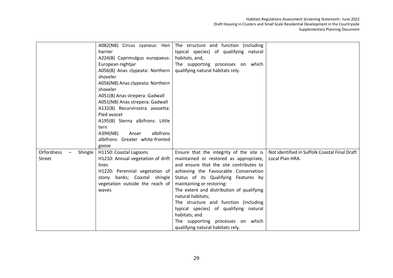|                              | A082(NB) Circus cyaneus: Hen      | The structure and function (including     |                                               |
|------------------------------|-----------------------------------|-------------------------------------------|-----------------------------------------------|
|                              | harrier                           | typical species) of qualifying natural    |                                               |
|                              | A224(B) Caprimulgus europaeus:    | habitats, and,                            |                                               |
|                              | European nightjar                 | The supporting processes on which         |                                               |
|                              | A056(B) Anas clypeata: Northern   | qualifying natural habitats rely.         |                                               |
|                              | shoveler                          |                                           |                                               |
|                              | A056(NB) Anas clypeata: Northern  |                                           |                                               |
|                              | shoveler                          |                                           |                                               |
|                              | A051(B) Anas strepera: Gadwall    |                                           |                                               |
|                              | A051(NB) Anas strepera: Gadwall   |                                           |                                               |
|                              | A132(B) Recurvirostra avosetta:   |                                           |                                               |
|                              | Pied avocet                       |                                           |                                               |
|                              | A195(B) Sterna albifrons: Little  |                                           |                                               |
|                              | tern                              |                                           |                                               |
|                              | albifrons<br>A394(NB)<br>Anser    |                                           |                                               |
|                              | albifrons: Greater white-fronted  |                                           |                                               |
|                              | goose                             |                                           |                                               |
| <b>Orfordness</b><br>Shingle | H1150: Coastal Lagoons            | Ensure that the integrity of the site is  | Not identified in Suffolk Coastal Final Draft |
| Street                       | H1210: Annual vegetation of drift | maintained or restored as appropriate,    | Local Plan HRA.                               |
|                              | lines                             | and ensure that the site contributes to   |                                               |
|                              | H1220: Perennial vegetation of    | achieving the Favourable Conservation     |                                               |
|                              | stony banks; Coastal shingle      | Status of its Qualifying Features by      |                                               |
|                              | vegetation outside the reach of   | maintaining or restoring:                 |                                               |
|                              | waves                             | The extent and distribution of qualifying |                                               |
|                              |                                   | natural habitats;                         |                                               |
|                              |                                   | The structure and function (including     |                                               |
|                              |                                   | typical species) of qualifying natural    |                                               |
|                              |                                   | habitats; and                             |                                               |
|                              |                                   | The supporting processes on which         |                                               |
|                              |                                   | qualifying natural habitats rely.         |                                               |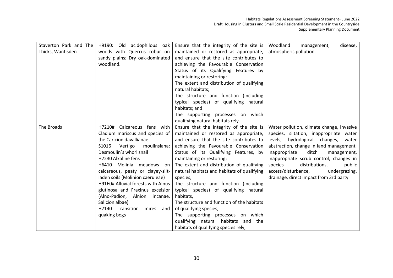| Staverton Park and The | H9190: Old acidophilous oak        | Ensure that the integrity of the site is    | Woodland<br>management,<br>disease,       |
|------------------------|------------------------------------|---------------------------------------------|-------------------------------------------|
| Thicks, Wantisden      | woods with Quercus robur on        | maintained or restored as appropriate,      | atmospheric pollution.                    |
|                        | sandy plains; Dry oak-dominated    | and ensure that the site contributes to     |                                           |
|                        | woodland.                          | achieving the Favourable Conservation       |                                           |
|                        |                                    | Status of its Qualifying Features by        |                                           |
|                        |                                    |                                             |                                           |
|                        |                                    | maintaining or restoring:                   |                                           |
|                        |                                    | The extent and distribution of qualifying   |                                           |
|                        |                                    | natural habitats;                           |                                           |
|                        |                                    | The structure and function (including       |                                           |
|                        |                                    | typical species) of qualifying natural      |                                           |
|                        |                                    | habitats; and                               |                                           |
|                        |                                    | The supporting processes on which           |                                           |
|                        |                                    | qualifying natural habitats rely.           |                                           |
| The Broads             | H7210# Calcareous fens with        | Ensure that the integrity of the site is    | Water pollution, climate change, invasive |
|                        | Cladium mariscus and species of    | maintained or restored as appropriate,      | species, siltation, inappropriate water   |
|                        | the Caricion davallianae           | and ensure that the site contributes to     | levels, hydrological changes,<br>water    |
|                        | S1016<br>Vertigo<br>moulinsiana:   | achieving the Favourable Conservation       | abstraction, change in land management,   |
|                        | Desmoulin's whorl snail            | Status of its Qualifying Features, by       | ditch<br>inappropriate<br>management,     |
|                        | H7230 Alkaline fens                | maintaining or restoring;                   | inappropriate scrub control, changes in   |
|                        | H6410 Molinia meadows on           | The extent and distribution of qualifying   | species<br>distributions,<br>public       |
|                        | calcareous, peaty or clayey-silt-  | natural habitats and habitats of qualifying | access/disturbance,<br>undergrazing,      |
|                        | laden soils (Molinion caeruleae)   | species,                                    | drainage, direct impact from 3rd party    |
|                        | H91E0# Alluvial forests with Alnus | The structure and function (including       |                                           |
|                        | glutinosa and Fraxinus excelsior   | typical species) of qualifying natural      |                                           |
|                        | (Alno-Padion, Alnion incanae,      | habitats,                                   |                                           |
|                        | Salicion albae)                    | The structure and function of the habitats  |                                           |
|                        | H7140 Transition<br>mires and      | of qualifying species,                      |                                           |
|                        | quaking bogs                       | The supporting processes on which           |                                           |
|                        |                                    | qualifying natural habitats and the         |                                           |
|                        |                                    | habitats of qualifying species rely,        |                                           |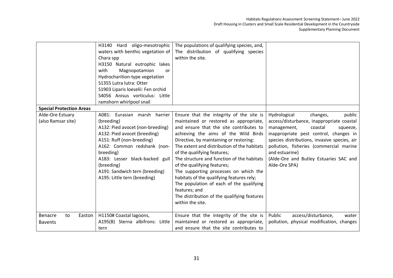|                                 | H3140 Hard oligo-mesotrophic       | The populations of qualifying species, and, |                                              |
|---------------------------------|------------------------------------|---------------------------------------------|----------------------------------------------|
|                                 | waters with benthic vegetation of  | The distribution of qualifying species      |                                              |
|                                 | Chara spp                          | within the site.                            |                                              |
|                                 | H3150 Natural eutrophic lakes      |                                             |                                              |
|                                 | Magnopotamion<br>with<br><b>or</b> |                                             |                                              |
|                                 | Hydrocharition-type vegetation     |                                             |                                              |
|                                 | S1355 Lutra lutra: Otter           |                                             |                                              |
|                                 | S1903 Liparis loeselii: Fen orchid |                                             |                                              |
|                                 | S4056 Anisus vorticulus: Little    |                                             |                                              |
|                                 | ramshorn whirlpool snail           |                                             |                                              |
| <b>Special Protection Areas</b> |                                    |                                             |                                              |
| Alde-Ore Estuary                | A081: Eurasian marsh harrier       | Ensure that the integrity of the site is    | public<br>Hydrological<br>changes,           |
| (also Ramsar site)              | (breeding)                         | maintained or restored as appropriate,      | access/disturbance, inappropriate coastal    |
|                                 | A132: Pied avocet (non-breeding)   | and ensure that the site contributes to     | management,<br>coastal<br>squeeze,           |
|                                 | A132: Pied avocet (breeding)       | achieving the aims of the Wild Birds        | inappropriate pest control, changes in       |
|                                 | A151: Ruff (non-breeding)          | Directive, by maintaining or restoring:     | species distributions, invasive species, air |
|                                 | A162: Common redshank (non-        | The extent and distribution of the habitats | pollution, fisheries (commercial marine      |
|                                 | breeding)                          | of the qualifying features;                 | and estuarine)                               |
|                                 | A183: Lesser black-backed gull     | The structure and function of the habitats  | (Alde-Ore and Butley Estuaries SAC and       |
|                                 | (breeding)                         | of the qualifying features;                 | Alde-Ore SPA)                                |
|                                 | A191: Sandwich tern (breeding)     | The supporting processes on which the       |                                              |
|                                 | A195: Little tern (breeding)       | habitats of the qualifying features rely;   |                                              |
|                                 |                                    | The population of each of the qualifying    |                                              |
|                                 |                                    | features; and                               |                                              |
|                                 |                                    | The distribution of the qualifying features |                                              |
|                                 |                                    | within the site.                            |                                              |
|                                 |                                    |                                             |                                              |
| Benacre<br>Easton  <br>to       | H1150# Coastal lagoons,            | Ensure that the integrity of the site is    | Public<br>access/disturbance,<br>water       |
| <b>Bavents</b>                  | A195(B) Sterna albifrons: Little   | maintained or restored as appropriate,      | pollution, physical modification, changes    |
|                                 | tern                               | and ensure that the site contributes to     |                                              |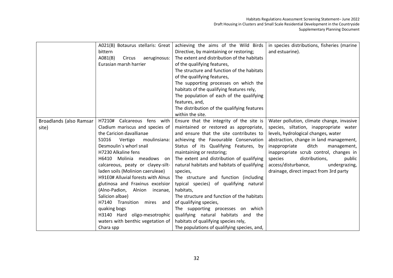|                         | A021(B) Botaurus stellaris: Great  | achieving the aims of the Wild Birds        | in species distributions, fisheries (marine |
|-------------------------|------------------------------------|---------------------------------------------|---------------------------------------------|
|                         | bittern                            | Directive, by maintaining or restoring;     | and estuarine).                             |
|                         | AO81(B)<br>Circus<br>aeruginosus:  | The extent and distribution of the habitats |                                             |
|                         | Eurasian marsh harrier             | of the qualifying features,                 |                                             |
|                         |                                    | The structure and function of the habitats  |                                             |
|                         |                                    | of the qualifying features,                 |                                             |
|                         |                                    | The supporting processes on which the       |                                             |
|                         |                                    | habitats of the qualifying features rely,   |                                             |
|                         |                                    | The population of each of the qualifying    |                                             |
|                         |                                    | features, and,                              |                                             |
|                         |                                    | The distribution of the qualifying features |                                             |
|                         |                                    | within the site.                            |                                             |
| Broadlands (also Ramsar | H7210# Calcareous fens with        | Ensure that the integrity of the site is    | Water pollution, climate change, invasive   |
| site)                   | Cladium mariscus and species of    | maintained or restored as appropriate,      | species, siltation, inappropriate water     |
|                         | the Caricion davallianae           | and ensure that the site contributes to     | levels, hydrological changes, water         |
|                         | S1016<br>Vertigo<br>moulinsiana:   | achieving the Favourable Conservation       | abstraction, change in land management,     |
|                         | Desmoulin's whorl snail            | Status of its Qualifying Features, by       | inappropriate<br>ditch<br>management,       |
|                         | H7230 Alkaline fens                | maintaining or restoring;                   | inappropriate scrub control, changes in     |
|                         | H6410 Molinia meadows on           | The extent and distribution of qualifying   | species<br>distributions,<br>public         |
|                         | calcareous, peaty or clayey-silt-  | natural habitats and habitats of qualifying | access/disturbance,<br>undergrazing,        |
|                         | laden soils (Molinion caeruleae)   | species,                                    | drainage, direct impact from 3rd party      |
|                         | H91E0# Alluvial forests with Alnus | The structure and function (including       |                                             |
|                         | glutinosa and Fraxinus excelsior   | typical species) of qualifying natural      |                                             |
|                         | (Alno-Padion, Alnion incanae,      | habitats,                                   |                                             |
|                         | Salicion albae)                    | The structure and function of the habitats  |                                             |
|                         | H7140 Transition mires and         | of qualifying species,                      |                                             |
|                         | quaking bogs                       | The supporting processes on which           |                                             |
|                         | H3140 Hard oligo-mesotrophic       | qualifying natural habitats and the         |                                             |
|                         | waters with benthic vegetation of  | habitats of qualifying species rely,        |                                             |
|                         | Chara spp                          | The populations of qualifying species, and, |                                             |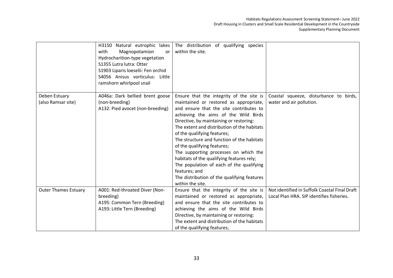|                                     | H3150 Natural eutrophic lakes<br>with<br>Magnopotamion<br>or<br>Hydrocharition-type vegetation<br>S1355 Lutra lutra: Otter<br>S1903 Liparis loeselii: Fen orchid<br>S4056 Anisus vorticulus: Little<br>ramshorn whirlpool snail | The distribution of qualifying species<br>within the site.                                                                                                                                                                                                                                                                                                                                                                                                                                                                                                                                        |                                                                                            |
|-------------------------------------|---------------------------------------------------------------------------------------------------------------------------------------------------------------------------------------------------------------------------------|---------------------------------------------------------------------------------------------------------------------------------------------------------------------------------------------------------------------------------------------------------------------------------------------------------------------------------------------------------------------------------------------------------------------------------------------------------------------------------------------------------------------------------------------------------------------------------------------------|--------------------------------------------------------------------------------------------|
| Deben Estuary<br>(also Ramsar site) | A046a: Dark bellied brent goose<br>(non-breeding)<br>A132: Pied avocet (non-breeding)                                                                                                                                           | Ensure that the integrity of the site is<br>maintained or restored as appropriate,<br>and ensure that the site contributes to<br>achieving the aims of the Wild Birds<br>Directive, by maintaining or restoring:<br>The extent and distribution of the habitats<br>of the qualifying features;<br>The structure and function of the habitats<br>of the qualifying features;<br>The supporting processes on which the<br>habitats of the qualifying features rely;<br>The population of each of the qualifying<br>features; and<br>The distribution of the qualifying features<br>within the site. | Coastal squeeze, disturbance to birds,<br>water and air pollution.                         |
| <b>Outer Thames Estuary</b>         | A001: Red-throated Diver (Non-<br>breeding)<br>A195: Common Tern (Breeding)<br>A193: Little Tern (Breeding)                                                                                                                     | Ensure that the integrity of the site is<br>maintained or restored as appropriate,<br>and ensure that the site contributes to<br>achieving the aims of the Wild Birds<br>Directive, by maintaining or restoring:<br>The extent and distribution of the habitats<br>of the qualifying features;                                                                                                                                                                                                                                                                                                    | Not identified in Suffolk Coastal Final Draft<br>Local Plan HRA. SIP identifies fisheries. |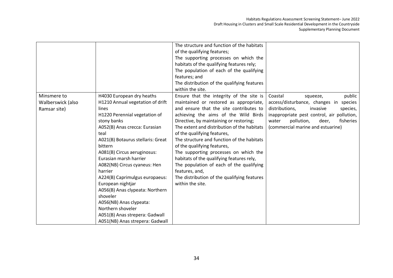|                                                  |                                                                                                                                                                                                                                                                                                                                                                                                                                                                                                                                                | The structure and function of the habitats<br>of the qualifying features;<br>The supporting processes on which the<br>habitats of the qualifying features rely;<br>The population of each of the qualifying<br>features; and<br>The distribution of the qualifying features<br>within the site.                                                                                                                                                                                                                                                                                                    |                                                                                                                                                                                                                                                   |
|--------------------------------------------------|------------------------------------------------------------------------------------------------------------------------------------------------------------------------------------------------------------------------------------------------------------------------------------------------------------------------------------------------------------------------------------------------------------------------------------------------------------------------------------------------------------------------------------------------|----------------------------------------------------------------------------------------------------------------------------------------------------------------------------------------------------------------------------------------------------------------------------------------------------------------------------------------------------------------------------------------------------------------------------------------------------------------------------------------------------------------------------------------------------------------------------------------------------|---------------------------------------------------------------------------------------------------------------------------------------------------------------------------------------------------------------------------------------------------|
| Minsmere to<br>Walberswick (also<br>Ramsar site) | H4030 European dry heaths<br>H1210 Annual vegetation of drift<br>lines<br>H1220 Perennial vegetation of<br>stony banks<br>A052(B) Anas crecca: Eurasian<br>teal<br>A021(B) Botaurus stellaris: Great<br>bittern<br>A081(B) Circus aeruginosus:<br>Eurasian marsh harrier<br>A082(NB) Circus cyaneus: Hen<br>harrier<br>A224(B) Caprimulgus europaeus:<br>European nightjar<br>A056(B) Anas clypeata: Northern<br>shoveler<br>A056(NB) Anas clypeata:<br>Northern shoveler<br>A051(B) Anas strepera: Gadwall<br>A051(NB) Anas strepera: Gadwall | Ensure that the integrity of the site is<br>maintained or restored as appropriate,<br>and ensure that the site contributes to<br>achieving the aims of the Wild Birds<br>Directive, by maintaining or restoring;<br>The extent and distribution of the habitats<br>of the qualifying features,<br>The structure and function of the habitats<br>of the qualifying features,<br>The supporting processes on which the<br>habitats of the qualifying features rely,<br>The population of each of the qualifying<br>features, and,<br>The distribution of the qualifying features<br>within the site. | public<br>Coastal<br>squeeze,<br>access/disturbance, changes in species<br>distributions,<br>invasive<br>species,<br>inappropriate pest control, air pollution,<br>pollution,<br>water<br>deer,<br>fisheries<br>(commercial marine and estuarine) |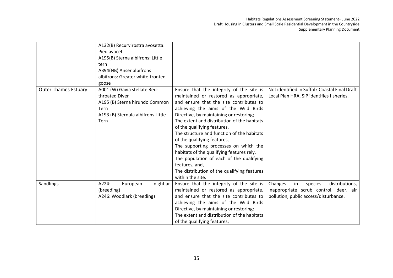|                             | A132(B) Recurvirostra avosetta:<br>Pied avocet<br>A195(B) Sterna albifrons: Little<br>tern<br>A394(NB) Anser albifrons<br>albifrons: Greater white-fronted<br>goose |                                                                                                                                                                                                                                                                                                                                                                                                                                                                                                                                                                                                    |                                                                                                                               |
|-----------------------------|---------------------------------------------------------------------------------------------------------------------------------------------------------------------|----------------------------------------------------------------------------------------------------------------------------------------------------------------------------------------------------------------------------------------------------------------------------------------------------------------------------------------------------------------------------------------------------------------------------------------------------------------------------------------------------------------------------------------------------------------------------------------------------|-------------------------------------------------------------------------------------------------------------------------------|
| <b>Outer Thames Estuary</b> | A001 (W) Gavia stellate Red-<br>throated Diver<br>A195 (B) Sterna hirundo Common<br>Tern<br>A193 (B) Sternula albifrons Little<br><b>Tern</b>                       | Ensure that the integrity of the site is<br>maintained or restored as appropriate,<br>and ensure that the site contributes to<br>achieving the aims of the Wild Birds<br>Directive, by maintaining or restoring;<br>The extent and distribution of the habitats<br>of the qualifying features,<br>The structure and function of the habitats<br>of the qualifying features,<br>The supporting processes on which the<br>habitats of the qualifying features rely,<br>The population of each of the qualifying<br>features, and,<br>The distribution of the qualifying features<br>within the site. | Not identified in Suffolk Coastal Final Draft<br>Local Plan HRA. SIP identifies fisheries.                                    |
| Sandlings                   | A224:<br>nightjar<br>European<br>(breeding)<br>A246: Woodlark (breeding)                                                                                            | Ensure that the integrity of the site is<br>maintained or restored as appropriate,<br>and ensure that the site contributes to<br>achieving the aims of the Wild Birds<br>Directive, by maintaining or restoring:<br>The extent and distribution of the habitats<br>of the qualifying features;                                                                                                                                                                                                                                                                                                     | Changes<br>species<br>distributions,<br>in<br>inappropriate scrub control, deer, air<br>pollution, public access/disturbance. |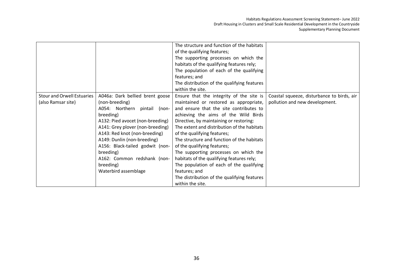|                                                               | The supporting processes on which the                                                                                                                |                                                                                                                                                                                                                                                                                                                                                                                                                                                                                         |
|---------------------------------------------------------------|------------------------------------------------------------------------------------------------------------------------------------------------------|-----------------------------------------------------------------------------------------------------------------------------------------------------------------------------------------------------------------------------------------------------------------------------------------------------------------------------------------------------------------------------------------------------------------------------------------------------------------------------------------|
|                                                               | habitats of the qualifying features rely;                                                                                                            |                                                                                                                                                                                                                                                                                                                                                                                                                                                                                         |
|                                                               | The population of each of the qualifying                                                                                                             |                                                                                                                                                                                                                                                                                                                                                                                                                                                                                         |
|                                                               | features; and                                                                                                                                        |                                                                                                                                                                                                                                                                                                                                                                                                                                                                                         |
|                                                               |                                                                                                                                                      |                                                                                                                                                                                                                                                                                                                                                                                                                                                                                         |
|                                                               | within the site.                                                                                                                                     |                                                                                                                                                                                                                                                                                                                                                                                                                                                                                         |
| Stour and Orwell Estuaries<br>A046a: Dark bellied brent goose |                                                                                                                                                      | Coastal squeeze, disturbance to birds, air                                                                                                                                                                                                                                                                                                                                                                                                                                              |
| (non-breeding)                                                |                                                                                                                                                      | pollution and new development.                                                                                                                                                                                                                                                                                                                                                                                                                                                          |
| A054: Northern pintail                                        | and ensure that the site contributes to                                                                                                              |                                                                                                                                                                                                                                                                                                                                                                                                                                                                                         |
| breeding)                                                     | achieving the aims of the Wild Birds                                                                                                                 |                                                                                                                                                                                                                                                                                                                                                                                                                                                                                         |
| A132: Pied avocet (non-breeding)                              | Directive, by maintaining or restoring:                                                                                                              |                                                                                                                                                                                                                                                                                                                                                                                                                                                                                         |
|                                                               | The extent and distribution of the habitats                                                                                                          |                                                                                                                                                                                                                                                                                                                                                                                                                                                                                         |
| A143: Red knot (non-breeding)                                 |                                                                                                                                                      |                                                                                                                                                                                                                                                                                                                                                                                                                                                                                         |
| A149: Dunlin (non-breeding)                                   | The structure and function of the habitats                                                                                                           |                                                                                                                                                                                                                                                                                                                                                                                                                                                                                         |
|                                                               |                                                                                                                                                      |                                                                                                                                                                                                                                                                                                                                                                                                                                                                                         |
|                                                               |                                                                                                                                                      |                                                                                                                                                                                                                                                                                                                                                                                                                                                                                         |
|                                                               |                                                                                                                                                      |                                                                                                                                                                                                                                                                                                                                                                                                                                                                                         |
|                                                               |                                                                                                                                                      |                                                                                                                                                                                                                                                                                                                                                                                                                                                                                         |
|                                                               |                                                                                                                                                      |                                                                                                                                                                                                                                                                                                                                                                                                                                                                                         |
|                                                               |                                                                                                                                                      |                                                                                                                                                                                                                                                                                                                                                                                                                                                                                         |
|                                                               | within the site.                                                                                                                                     |                                                                                                                                                                                                                                                                                                                                                                                                                                                                                         |
|                                                               | A141: Grey plover (non-breeding)<br>A156: Black-tailed godwit (non-<br>breeding)<br>A162: Common redshank (non-<br>breeding)<br>Waterbird assemblage | The structure and function of the habitats<br>of the qualifying features;<br>The distribution of the qualifying features<br>Ensure that the integrity of the site is<br>maintained or restored as appropriate,<br>(non-<br>of the qualifying features;<br>of the qualifying features;<br>The supporting processes on which the<br>habitats of the qualifying features rely;<br>The population of each of the qualifying<br>features; and<br>The distribution of the qualifying features |